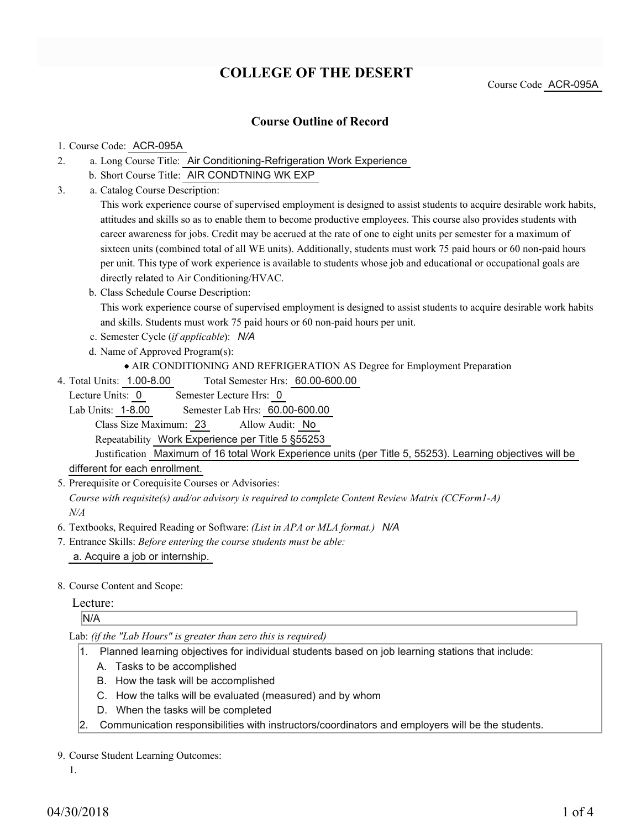# **COLLEGE OF THE DESERT**

Course Code ACR-095A

## **Course Outline of Record**

#### 1. Course Code: ACR-095A

- a. Long Course Title: Air Conditioning-Refrigeration Work Experience 2.
	- b. Short Course Title: AIR CONDTNING WK EXP
- Catalog Course Description: a. 3.

This work experience course of supervised employment is designed to assist students to acquire desirable work habits, attitudes and skills so as to enable them to become productive employees. This course also provides students with career awareness for jobs. Credit may be accrued at the rate of one to eight units per semester for a maximum of sixteen units (combined total of all WE units). Additionally, students must work 75 paid hours or 60 non-paid hours per unit. This type of work experience is available to students whose job and educational or occupational goals are directly related to Air Conditioning/HVAC.

b. Class Schedule Course Description:

This work experience course of supervised employment is designed to assist students to acquire desirable work habits and skills. Students must work 75 paid hours or 60 non-paid hours per unit.

- c. Semester Cycle (*if applicable*): *N/A*
- d. Name of Approved Program(s):
	- AIR CONDITIONING AND REFRIGERATION AS Degree for Employment Preparation
- Total Semester Hrs: 60.00-600.00 4. Total Units: 1.00-8.00

Lecture Units: 0 Semester Lecture Hrs: 0

Lab Units: 1-8.00 Semester Lab Hrs: 60.00-600.00

Class Size Maximum: 23 Allow Audit: No

Repeatability Work Experience per Title 5 §55253

Justification Maximum of 16 total Work Experience units (per Title 5, 55253). Learning objectives will be different for each enrollment.

5. Prerequisite or Corequisite Courses or Advisories:

*Course with requisite(s) and/or advisory is required to complete Content Review Matrix (CCForm1-A) N/A*

- 6. Textbooks, Required Reading or Software: *(List in APA or MLA format.) N/A*
- Entrance Skills: *Before entering the course students must be able:* 7. a. Acquire a job or internship.
- 8. Course Content and Scope:

### Lecture:

N/A

#### Lab: *(if the "Lab Hours" is greater than zero this is required)*

- 1. Planned learning objectives for individual students based on job learning stations that include:
	- A. Tasks to be accomplished
	- B. How the task will be accomplished
	- C. How the talks will be evaluated (measured) and by whom
	- D. When the tasks will be completed
- 2. Communication responsibilities with instructors/coordinators and employers will be the students.

#### 9. Course Student Learning Outcomes:

1.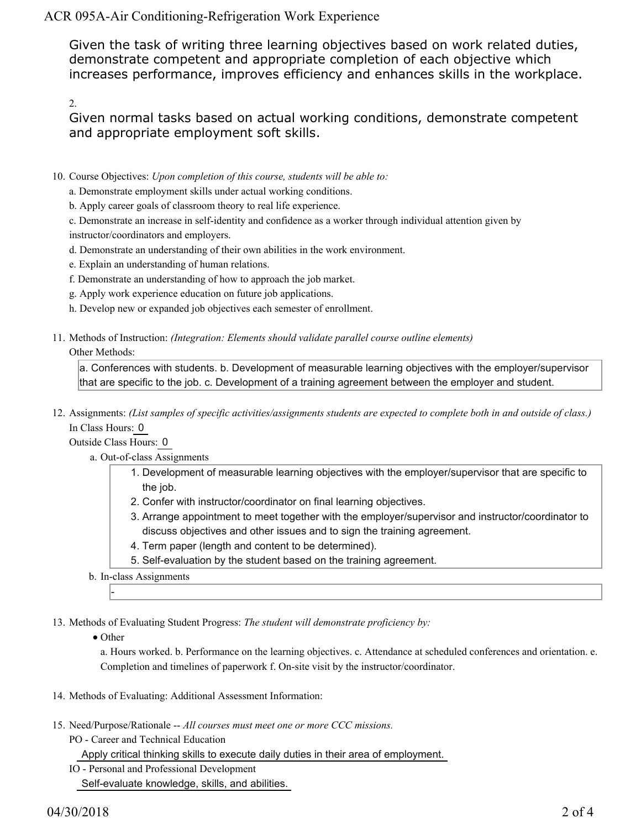ACR 095A-Air Conditioning-Refrigeration Work Experience

Given the task of writing three learning objectives based on work related duties, demonstrate competent and appropriate completion of each objective which increases performance, improves efficiency and enhances skills in the workplace.

2.

Given normal tasks based on actual working conditions, demonstrate competent and appropriate employment soft skills.

- 10. Course Objectives: Upon completion of this course, students will be able to:
	- a. Demonstrate employment skills under actual working conditions.
	- b. Apply career goals of classroom theory to real life experience.
	- c. Demonstrate an increase in self-identity and confidence as a worker through individual attention given by instructor/coordinators and employers.
	- d. Demonstrate an understanding of their own abilities in the work environment.
	- e. Explain an understanding of human relations.
	- f. Demonstrate an understanding of how to approach the job market.
	- g. Apply work experience education on future job applications.
	- h. Develop new or expanded job objectives each semester of enrollment.
- Methods of Instruction: *(Integration: Elements should validate parallel course outline elements)* 11. Other Methods:

a. Conferences with students. b. Development of measurable learning objectives with the employer/supervisor that are specific to the job. c. Development of a training agreement between the employer and student.

12. Assignments: (List samples of specific activities/assignments students are expected to complete both in and outside of class.) In Class Hours: 0

Outside Class Hours: 0

- a. Out-of-class Assignments
	- 1. Development of measurable learning objectives with the employer/supervisor that are specific to the job.
	- 2. Confer with instructor/coordinator on final learning objectives.
	- Arrange appointment to meet together with the employer/supervisor and instructor/coordinator to 3. discuss objectives and other issues and to sign the training agreement.
	- 4. Term paper (length and content to be determined).
	- 5. Self-evaluation by the student based on the training agreement.
- b. In-class Assignments

13. Methods of Evaluating Student Progress: The student will demonstrate proficiency by:

• Other

-

a. Hours worked. b. Performance on the learning objectives. c. Attendance at scheduled conferences and orientation. e. Completion and timelines of paperwork f. On-site visit by the instructor/coordinator.

- 14. Methods of Evaluating: Additional Assessment Information:
- 15. Need/Purpose/Rationale -- All courses must meet one or more CCC missions.
	- PO Career and Technical Education
		- Apply critical thinking skills to execute daily duties in their area of employment.
	- IO Personal and Professional Development Self-evaluate knowledge, skills, and abilities.